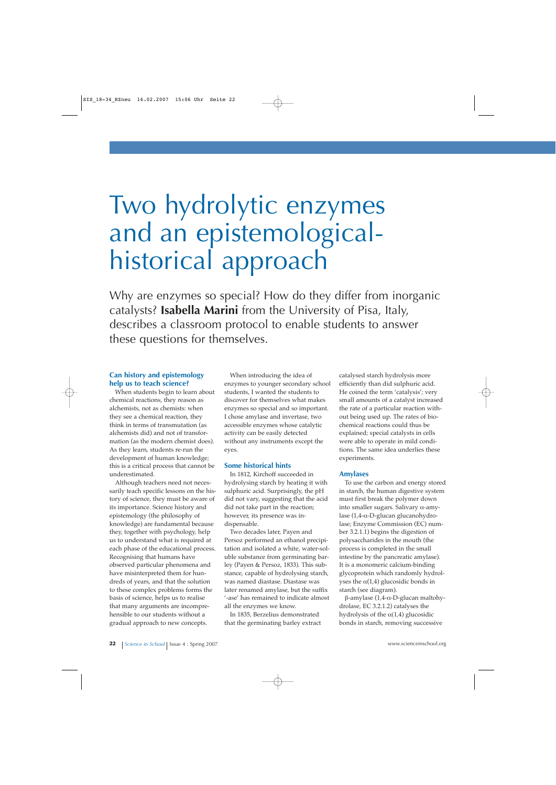# Two hydrolytic enzymes and an epistemologicalhistorical approach

Why are enzymes so special? How do they differ from inorganic catalysts? **Isabella Marini** from the University of Pisa, Italy, describes a classroom protocol to enable students to answer these questions for themselves.

## **Can history and epistemology help us to teach science?**

When students begin to learn about chemical reactions, they reason as alchemists, not as chemists: when they see a chemical reaction, they think in terms of transmutation (as alchemists did) and not of transformation (as the modern chemist does). As they learn, students re-run the development of human knowledge; this is a critical process that cannot be underestimated.

Although teachers need not necessarily teach specific lessons on the history of science, they must be aware of its importance. Science history and epistemology (the philosophy of knowledge) are fundamental because they, together with psychology, help us to understand what is required at each phase of the educational process. Recognising that humans have observed particular phenomena and have misinterpreted them for hundreds of years, and that the solution to these complex problems forms the basis of science, helps us to realise that many arguments are incomprehensible to our students without a gradual approach to new concepts.

When introducing the idea of enzymes to younger secondary school students, I wanted the students to discover for themselves what makes enzymes so special and so important. I chose amylase and invertase, two accessible enzymes whose catalytic activity can be easily detected without any instruments except the eyes.

## **Some historical hints**

In 1812, Kirchoff succeeded in hydrolysing starch by heating it with sulphuric acid. Surprisingly, the pH did not vary, suggesting that the acid did not take part in the reaction; however, its presence was indispensable.

Two decades later, Payen and Persoz performed an ethanol precipitation and isolated a white, water-soluble substance from germinating barley (Payen & Persoz, 1833). This substance, capable of hydrolysing starch, was named diastase. Diastase was later renamed amylase, but the suffix '-ase' has remained to indicate almost all the enzymes we know.

In 1835, Berzelius demonstrated that the germinating barley extract catalysed starch hydrolysis more efficiently than did sulphuric acid. He coined the term 'catalysis'; very small amounts of a catalyst increased the rate of a particular reaction without being used up. The rates of biochemical reactions could thus be explained; special catalysts in cells were able to operate in mild conditions. The same idea underlies these experiments.

## **Amylases**

To use the carbon and energy stored in starch, the human digestive system must first break the polymer down into smaller sugars. Salivary α-amylase (1,4-α-D-glucan glucanohydrolase; Enzyme Commission (EC) number 3.2.1.1) begins the digestion of polysaccharides in the mouth (the process is completed in the small intestine by the pancreatic amylase). It is a monomeric calcium-binding glycoprotein which randomly hydrolyses the  $\alpha(1,4)$  glucosidic bonds in starch (see diagram).

β-amylase (1,4-α-D-glucan maltohydrolase, EC 3.2.1.2) catalyses the hydrolysis of the  $\alpha(1,4)$  glucosidic bonds in starch, removing successive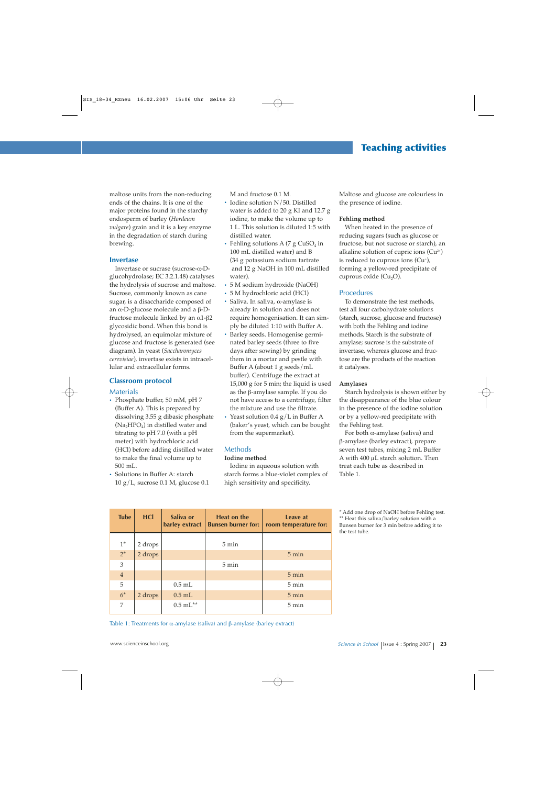maltose units from the non-reducing ends of the chains. It is one of the major proteins found in the starchy endosperm of barley (*Hordeum vulgare*) grain and it is a key enzyme in the degradation of starch during brewing.

#### **Invertase**

Invertase or sucrase (sucrose-α-Dglucohydrolase; EC 3.2.1.48) catalyses the hydrolysis of sucrose and maltose. Sucrose, commonly known as cane sugar, is a disaccharide composed of an α-D-glucose molecule and a β-Dfructose molecule linked by an α1-β2 glycosidic bond. When this bond is hydrolysed, an equimolar mixture of glucose and fructose is generated (see diagram). In yeast (*Saccharomyces cerevisiae*), invertase exists in intracellular and extracellular forms.

## **Classroom protocol**

#### **Materials**

- **·** Phosphate buffer, 50 mM, pH 7 (Buffer A). This is prepared by dissolving 3.55 g dibasic phosphate  $(Na_2HPO_4)$  in distilled water and titrating to pH 7.0 (with a pH meter) with hydrochloric acid (HCl) before adding distilled water to make the final volume up to 500 mL.
- **·** Solutions in Buffer A: starch 10 g/L, sucrose 0.1 M, glucose 0.1

M and fructose 0.1 M.

- **·** Iodine solution N/50. Distilled water is added to 20 g KI and 12.7 g iodine, to make the volume up to 1 L. This solution is diluted 1:5 with distilled water.
- Fehling solutions A (7 g CuSO<sub>4</sub> in 100 mL distilled water) and B (34 g potassium sodium tartrate and 12 g NaOH in 100 mL distilled water).
- **·** 5 M sodium hydroxide (NaOH)
- **·** 5 M hydrochloric acid (HCl)
- **·** Saliva. In saliva, α-amylase is already in solution and does not require homogenisation. It can simply be diluted 1:10 with Buffer A.
- **·** Barley seeds. Homogenise germinated barley seeds (three to five days after sowing) by grinding them in a mortar and pestle with Buffer A (about 1 g seeds/mL buffer). Centrifuge the extract at 15,000 g for 5 min; the liquid is used as the β-amylase sample. If you do not have access to a centrifuge, filter the mixture and use the filtrate.
- **·** Yeast solution 0.4 g/L in Buffer A (baker's yeast, which can be bought from the supermarket).

## Methods

#### **Iodine method**

Iodine in aqueous solution with starch forms a blue-violet complex of high sensitivity and specificity.

Maltose and glucose are colourless in the presence of iodine.

#### **Fehling method**

When heated in the presence of reducing sugars (such as glucose or fructose, but not sucrose or starch), an alkaline solution of cupric ions  $(Cu^{2+})$ is reduced to cuprous ions (Cu+ ), forming a yellow-red precipitate of cuprous oxide  $(Cu_2O)$ .

## **Procedures**

To demonstrate the test methods, test all four carbohydrate solutions (starch, sucrose, glucose and fructose) with both the Fehling and iodine methods. Starch is the substrate of amylase; sucrose is the substrate of invertase, whereas glucose and fructose are the products of the reaction it catalyses.

#### **Amylases**

Starch hydrolysis is shown either by the disappearance of the blue colour in the presence of the iodine solution or by a yellow-red precipitate with the Fehling test.

For both α-amylase (saliva) and β-amylase (barley extract), prepare seven test tubes, mixing 2 mL Buffer A with 400 µL starch solution. Then treat each tube as described in Table 1.

| <b>Tube</b>    | <b>HCI</b> | Saliva or<br>barley extract | <b>Heat on the</b><br><b>Bunsen burner for:</b> | Leave at<br>room temperature for: |
|----------------|------------|-----------------------------|-------------------------------------------------|-----------------------------------|
| $1^*$          | 2 drops    |                             | $5 \text{ min}$                                 |                                   |
| $2^*$          | 2 drops    |                             |                                                 | $5 \text{ min}$                   |
| 3              |            |                             | $5 \text{ min}$                                 |                                   |
| $\overline{4}$ |            |                             |                                                 | $5 \text{ min}$                   |
| 5              |            | $0.5$ mL                    |                                                 | $5 \text{ min}$                   |
| $6*$           | 2 drops    | $0.5$ mL                    |                                                 | $5 \text{ min}$                   |
| 7              |            | $0.5 \text{ mL}^{**}$       |                                                 | $5 \text{ min}$                   |

Table 1: Treatments for α-amylase (saliva) and β-amylase (barley extract)

\* Add one drop of NaOH before Fehling test. \*\* Heat this saliva/barley solution with a Bunsen burner for 3 min before adding it to the test tube.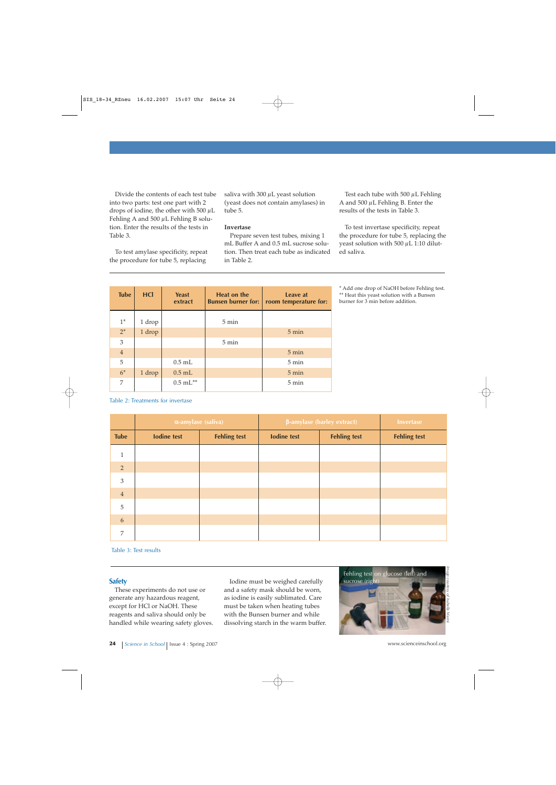Divide the contents of each test tube into two parts: test one part with 2 drops of iodine, the other with 500  $\mu$ L Fehling A and  $500 \mu L$  Fehling B solution. Enter the results of the tests in Table 3.

To test amylase specificity, repeat the procedure for tube 5, replacing

saliva with 300 uL yeast solution (yeast does not contain amylases) in tube 5.

#### **Invertase**

Prepare seven test tubes, mixing 1 mL Buffer A and 0.5 mL sucrose solution. Then treat each tube as indicated in Table 2.

Test each tube with 500  $\mu$ L Fehling A and  $500 \mu L$  Fehling B. Enter the results of the tests in Table 3.

To test invertase specificity, repeat the procedure for tube 5, replacing the yeast solution with 500  $\mu$ L 1:10 diluted saliva.

\* Add one drop of NaOH before Fehling test. \*\* Heat this yeast solution with a Bunsen burner for 3 min before addition.

| <b>Tube</b>    | <b>HCI</b> | <b>Yeast</b><br>extract | <b>Heat on the</b><br><b>Bunsen burner for:</b> | <b>Leave at</b><br>room temperature for: |  |
|----------------|------------|-------------------------|-------------------------------------------------|------------------------------------------|--|
| $1^*$          | 1 drop     |                         | $5 \text{ min}$                                 |                                          |  |
| $2^*$          | 1 drop     |                         |                                                 | $5 \text{ min}$                          |  |
| $\mathfrak{Z}$ |            |                         | $5 \text{ min}$                                 |                                          |  |
| $\sqrt{4}$     |            |                         |                                                 | $5 \text{ min}$                          |  |
| 5              |            | $0.5$ mL                |                                                 | $5 \text{ min}$                          |  |
| $6*$           | 1 drop     | $0.5$ mL                |                                                 | $5 \text{ min}$                          |  |
| 7              |            | $0.5 \text{ mL}^{**}$   |                                                 | 5 min                                    |  |

#### Table 2: Treatments for invertase

|                | $\alpha$ -amylase (saliva) |                     | β-amylase (barley extract) |                     | <b>Invertase</b>    |
|----------------|----------------------------|---------------------|----------------------------|---------------------|---------------------|
| <b>Tube</b>    | <b>Iodine test</b>         | <b>Fehling test</b> | <b>Iodine test</b>         | <b>Fehling test</b> | <b>Fehling test</b> |
| $\mathbf{1}$   |                            |                     |                            |                     |                     |
| $\overline{2}$ |                            |                     |                            |                     |                     |
| $\mathfrak{Z}$ |                            |                     |                            |                     |                     |
| $\sqrt{4}$     |                            |                     |                            |                     |                     |
| $\sqrt{5}$     |                            |                     |                            |                     |                     |
| 6              |                            |                     |                            |                     |                     |
| 7              |                            |                     |                            |                     |                     |

Table 3: Test results

#### **Safety**

These experiments do not use or generate any hazardous reagent, except for HCl or NaOH. These reagents and saliva should only be handled while wearing safety gloves.

Iodine must be weighed carefully and a safety mask should be worn, as iodine is easily sublimated. Care must be taken when heating tubes with the Bunsen burner and while dissolving starch in the warm buffer.

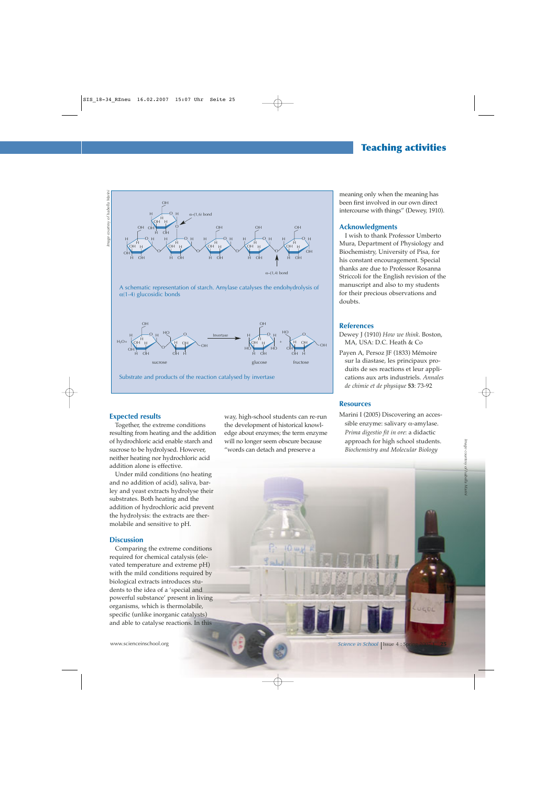# **Teaching activities**

courtesy of Isabella Marin. *Image courtesy of Isabella Marini* mape



A schematic representation of starch. Amylase catalyses the endohydrolysis of  $\alpha$ (1-4) glucosidic bonds



Substrate and products of the reaction catalysed by invertase

## **Expected results**

Together, the extreme conditions resulting from heating and the addition of hydrochloric acid enable starch and sucrose to be hydrolysed. However, neither heating nor hydrochloric acid addition alone is effective.

Under mild conditions (no heating and no addition of acid), saliva, barley and yeast extracts hydrolyse their substrates. Both heating and the addition of hydrochloric acid prevent the hydrolysis: the extracts are thermolabile and sensitive to pH.

#### **Discussion**

Comparing the extreme conditions required for chemical catalysis (elevated temperature and extreme pH) with the mild conditions required by biological extracts introduces students to the idea of a 'special and powerful substance' present in living organisms, which is thermolabile, specific (unlike inorganic catalysts) and able to catalyse reactions. In this

way, high-school students can re-run the development of historical knowledge about enzymes; the term enzyme will no longer seem obscure because "words can detach and preserve a

meaning only when the meaning has been first involved in our own direct intercourse with things" (Dewey, 1910).

## **Acknowledgments**

I wish to thank Professor Umberto Mura, Department of Physiology and Biochemistry, University of Pisa, for his constant encouragement. Special thanks are due to Professor Rosanna Striccoli for the English revision of the manuscript and also to my students for their precious observations and doubts.

#### **References**

- Dewey J (1910) *How we think*. Boston, MA, USA: D.C. Heath & Co
- Payen A, Persoz JF (1833) Mémoire sur la diastase, les principaux produits de ses reactions et leur applications aux arts industriels. *Annales de chimie et de physique* **53**: 73-92

## **Resources**

Marini I (2005) Discovering an accessible enzyme: salivary  $\alpha$ -amylase. *Prima digestio fit in ore*: a didactic approach for high school students. *Biochemistry and Molecular Biology*